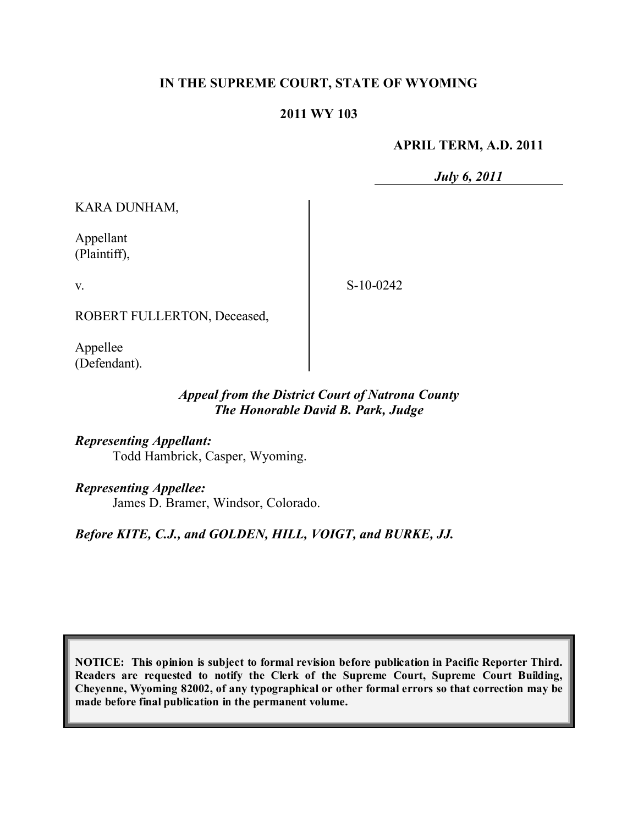# **IN THE SUPREME COURT, STATE OF WYOMING**

#### **2011 WY 103**

#### **APRIL TERM, A.D. 2011**

*July 6, 2011*

KARA DUNHAM,

Appellant (Plaintiff),

v.

S-10-0242

ROBERT FULLERTON, Deceased,

Appellee (Defendant).

### *Appeal from the District Court of Natrona County The Honorable David B. Park, Judge*

*Representing Appellant:* Todd Hambrick, Casper, Wyoming.

*Representing Appellee:*

James D. Bramer, Windsor, Colorado.

*Before KITE, C.J., and GOLDEN, HILL, VOIGT, and BURKE, JJ.*

**NOTICE: This opinion is subject to formal revision before publication in Pacific Reporter Third. Readers are requested to notify the Clerk of the Supreme Court, Supreme Court Building, Cheyenne, Wyoming 82002, of any typographical or other formal errors so that correction may be made before final publication in the permanent volume.**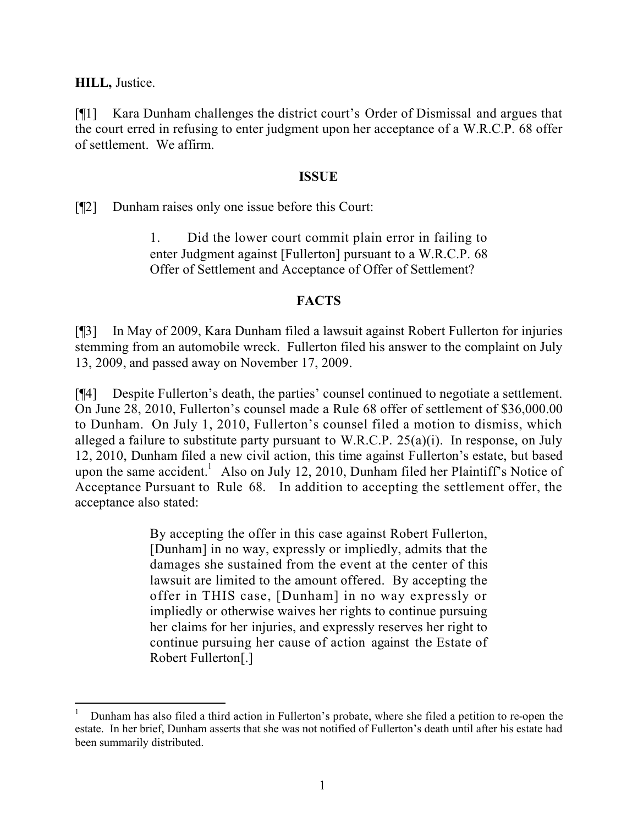**HILL,** Justice.

[¶1] Kara Dunham challenges the district court's Order of Dismissal and argues that the court erred in refusing to enter judgment upon her acceptance of a W.R.C.P. 68 offer of settlement. We affirm.

### **ISSUE**

[¶2] Dunham raises only one issue before this Court:

1. Did the lower court commit plain error in failing to enter Judgment against [Fullerton] pursuant to a W.R.C.P. 68 Offer of Settlement and Acceptance of Offer of Settlement?

# **FACTS**

[¶3] In May of 2009, Kara Dunham filed a lawsuit against Robert Fullerton for injuries stemming from an automobile wreck. Fullerton filed his answer to the complaint on July 13, 2009, and passed away on November 17, 2009.

[¶4] Despite Fullerton's death, the parties' counsel continued to negotiate a settlement. On June 28, 2010, Fullerton's counsel made a Rule 68 offer of settlement of \$36,000.00 to Dunham. On July 1, 2010, Fullerton's counsel filed a motion to dismiss, which alleged a failure to substitute party pursuant to W.R.C.P.  $25(a)(i)$ . In response, on July 12, 2010, Dunham filed a new civil action, this time against Fullerton's estate, but based upon the same accident.<sup>1</sup> Also on July 12, 2010, Dunham filed her Plaintiff's Notice of Acceptance Pursuant to Rule 68. In addition to accepting the settlement offer, the acceptance also stated:

> By accepting the offer in this case against Robert Fullerton, [Dunham] in no way, expressly or impliedly, admits that the damages she sustained from the event at the center of this lawsuit are limited to the amount offered. By accepting the offer in THIS case, [Dunham] in no way expressly or impliedly or otherwise waives her rights to continue pursuing her claims for her injuries, and expressly reserves her right to continue pursuing her cause of action against the Estate of Robert Fullerton[.]

<sup>1</sup> Dunham has also filed a third action in Fullerton's probate, where she filed a petition to re-open the estate. In her brief, Dunham asserts that she was not notified of Fullerton's death until after his estate had been summarily distributed.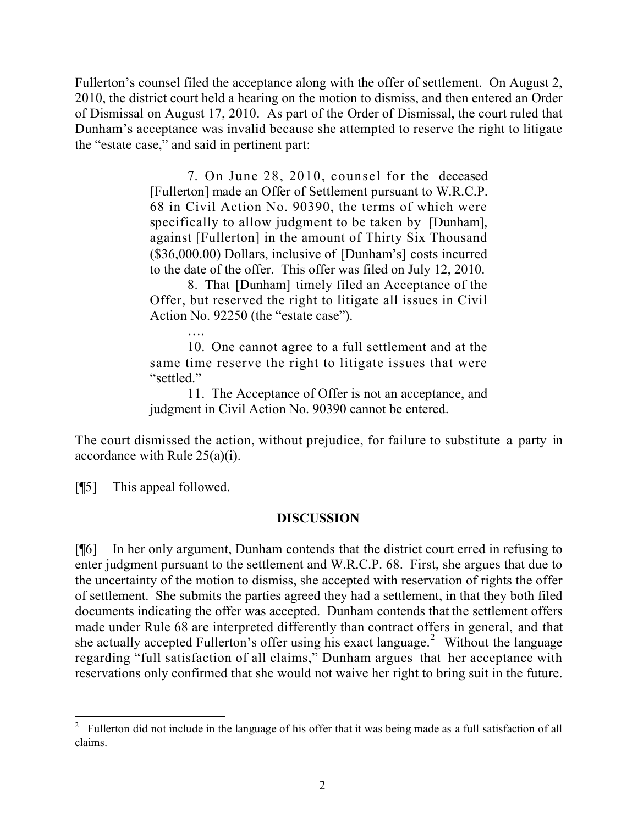Fullerton's counsel filed the acceptance along with the offer of settlement. On August 2, 2010, the district court held a hearing on the motion to dismiss, and then entered an Order of Dismissal on August 17, 2010. As part of the Order of Dismissal, the court ruled that Dunham's acceptance was invalid because she attempted to reserve the right to litigate the "estate case," and said in pertinent part:

> 7. On June 28, 2010, counsel for the deceased [Fullerton] made an Offer of Settlement pursuant to W.R.C.P. 68 in Civil Action No. 90390, the terms of which were specifically to allow judgment to be taken by [Dunham], against [Fullerton] in the amount of Thirty Six Thousand (\$36,000.00) Dollars, inclusive of [Dunham's] costs incurred to the date of the offer. This offer was filed on July 12, 2010.

8. That [Dunham] timely filed an Acceptance of the Offer, but reserved the right to litigate all issues in Civil Action No. 92250 (the "estate case").

10. One cannot agree to a full settlement and at the same time reserve the right to litigate issues that were "settled."

11. The Acceptance of Offer is not an acceptance, and judgment in Civil Action No. 90390 cannot be entered.

The court dismissed the action, without prejudice, for failure to substitute a party in accordance with Rule 25(a)(i).

[¶5] This appeal followed.

# **DISCUSSION**

[¶6] In her only argument, Dunham contends that the district court erred in refusing to enter judgment pursuant to the settlement and W.R.C.P. 68. First, she argues that due to the uncertainty of the motion to dismiss, she accepted with reservation of rights the offer of settlement. She submits the parties agreed they had a settlement, in that they both filed documents indicating the offer was accepted. Dunham contends that the settlement offers made under Rule 68 are interpreted differently than contract offers in general, and that she actually accepted Fullerton's offer using his exact language.<sup>2</sup> Without the language regarding "full satisfaction of all claims," Dunham argues that her acceptance with reservations only confirmed that she would not waive her right to bring suit in the future.

<sup>&</sup>lt;sup>2</sup> Fullerton did not include in the language of his offer that it was being made as a full satisfaction of all claims.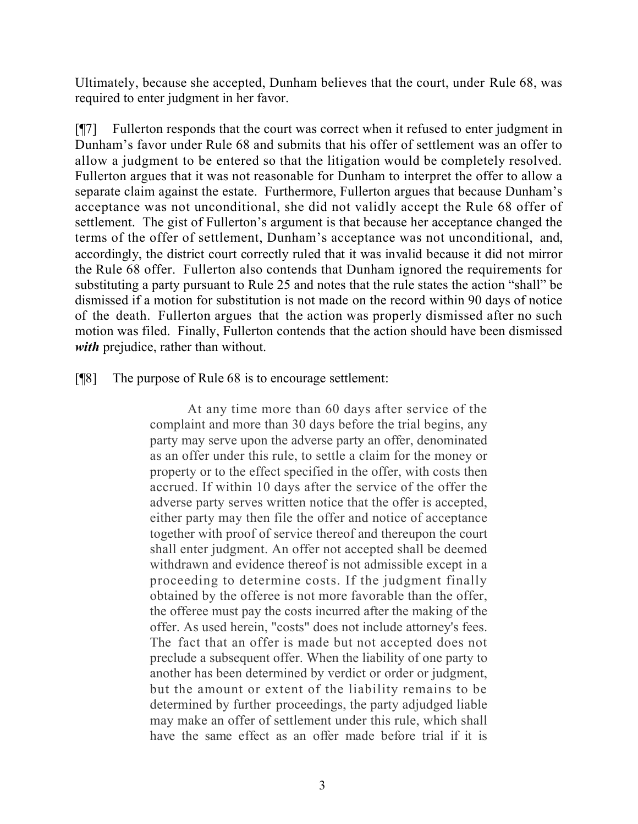Ultimately, because she accepted, Dunham believes that the court, under Rule 68, was required to enter judgment in her favor.

[¶7] Fullerton responds that the court was correct when it refused to enter judgment in Dunham's favor under Rule 68 and submits that his offer of settlement was an offer to allow a judgment to be entered so that the litigation would be completely resolved. Fullerton argues that it was not reasonable for Dunham to interpret the offer to allow a separate claim against the estate. Furthermore, Fullerton argues that because Dunham's acceptance was not unconditional, she did not validly accept the Rule 68 offer of settlement. The gist of Fullerton's argument is that because her acceptance changed the terms of the offer of settlement, Dunham's acceptance was not unconditional, and, accordingly, the district court correctly ruled that it was invalid because it did not mirror the Rule 68 offer. Fullerton also contends that Dunham ignored the requirements for substituting a party pursuant to Rule 25 and notes that the rule states the action "shall" be dismissed if a motion for substitution is not made on the record within 90 days of notice of the death. Fullerton argues that the action was properly dismissed after no such motion was filed. Finally, Fullerton contends that the action should have been dismissed *with* prejudice, rather than without.

[¶8] The purpose of Rule 68 is to encourage settlement:

At any time more than 60 days after service of the complaint and more than 30 days before the trial begins, any party may serve upon the adverse party an offer, denominated as an offer under this rule, to settle a claim for the money or property or to the effect specified in the offer, with costs then accrued. If within 10 days after the service of the offer the adverse party serves written notice that the offer is accepted, either party may then file the offer and notice of acceptance together with proof of service thereof and thereupon the court shall enter judgment. An offer not accepted shall be deemed withdrawn and evidence thereof is not admissible except in a proceeding to determine costs. If the judgment finally obtained by the offeree is not more favorable than the offer, the offeree must pay the costs incurred after the making of the offer. As used herein, "costs" does not include attorney's fees. The fact that an offer is made but not accepted does not preclude a subsequent offer. When the liability of one party to another has been determined by verdict or order or judgment, but the amount or extent of the liability remains to be determined by further proceedings, the party adjudged liable may make an offer of settlement under this rule, which shall have the same effect as an offer made before trial if it is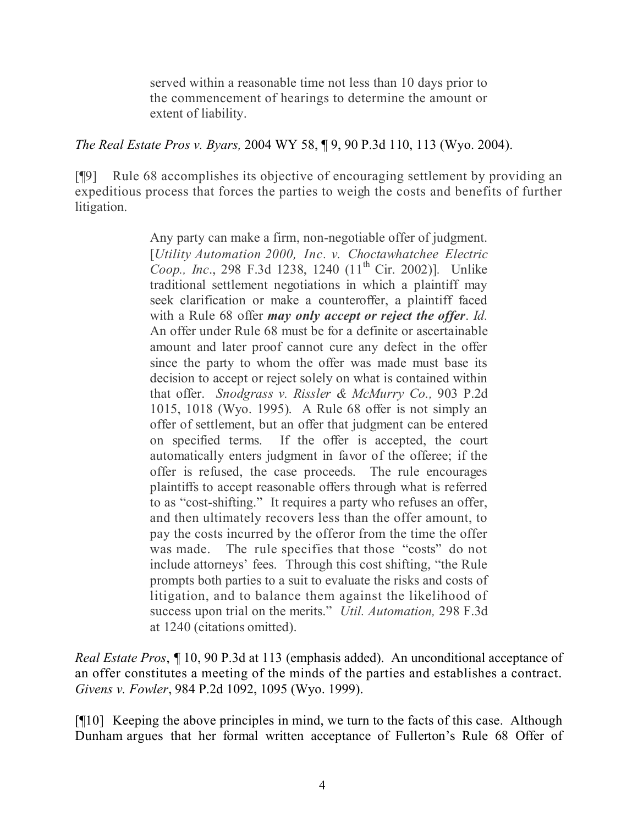served within a reasonable time not less than 10 days prior to the commencement of hearings to determine the amount or extent of liability.

*The Real Estate Pros v. Byars,* 2004 WY 58, ¶ 9, 90 P.3d 110, 113 (Wyo. 2004).

[¶9] Rule 68 accomplishes its objective of encouraging settlement by providing an expeditious process that forces the parties to weigh the costs and benefits of further litigation.

> Any party can make a firm, non-negotiable offer of judgment. [*Utility Automation 2000, Inc. v. Choctawhatchee Electric Coop., Inc*., 298 F.3d 1238, 1240 (11 th Cir. 2002)]*.* Unlike traditional settlement negotiations in which a plaintiff may seek clarification or make a counteroffer, a plaintiff faced with a Rule 68 offer *may only accept or reject the offer*. *Id.* An offer under Rule 68 must be for a definite or ascertainable amount and later proof cannot cure any defect in the offer since the party to whom the offer was made must base its decision to accept or reject solely on what is contained within that offer. *Snodgrass v. Rissler & McMurry Co.,* 903 P.2d 1015, 1018 (Wyo. 1995). A Rule 68 offer is not simply an offer of settlement, but an offer that judgment can be entered on specified terms. If the offer is accepted, the court automatically enters judgment in favor of the offeree; if the offer is refused, the case proceeds. The rule encourages plaintiffs to accept reasonable offers through what is referred to as "cost-shifting." It requires a party who refuses an offer, and then ultimately recovers less than the offer amount, to pay the costs incurred by the offeror from the time the offer was made. The rule specifies that those "costs" do not include attorneys' fees. Through this cost shifting, "the Rule prompts both parties to a suit to evaluate the risks and costs of litigation, and to balance them against the likelihood of success upon trial on the merits." *Util. Automation,* 298 F.3d at 1240 (citations omitted).

*Real Estate Pros*, *¶* 10, 90 P.3d at 113 (emphasis added). An unconditional acceptance of an offer constitutes a meeting of the minds of the parties and establishes a contract. *Givens v. Fowler*, 984 P.2d 1092, 1095 (Wyo. 1999).

[¶10] Keeping the above principles in mind, we turn to the facts of this case. Although Dunham argues that her formal written acceptance of Fullerton's Rule 68 Offer of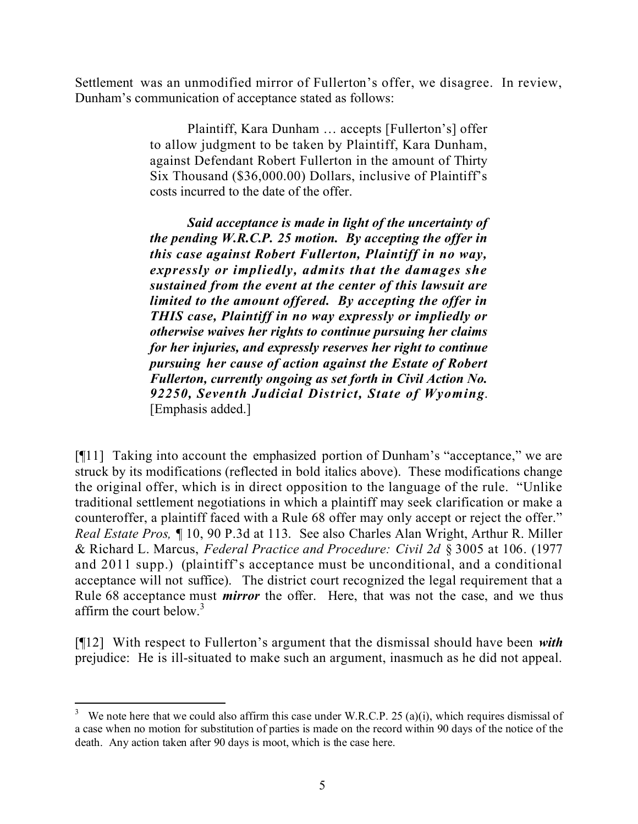Settlement was an unmodified mirror of Fullerton's offer, we disagree. In review, Dunham's communication of acceptance stated as follows:

> Plaintiff, Kara Dunham … accepts [Fullerton's] offer to allow judgment to be taken by Plaintiff, Kara Dunham, against Defendant Robert Fullerton in the amount of Thirty Six Thousand (\$36,000.00) Dollars, inclusive of Plaintiff's costs incurred to the date of the offer.

> *Said acceptance is made in light of the uncertainty of the pending W.R.C.P. 25 motion. By accepting the offer in this case against Robert Fullerton, Plaintiff in no way, expressly or impliedly, admits that the damages she sustained from the event at the center of this lawsuit are limited to the amount offered. By accepting the offer in THIS case, Plaintiff in no way expressly or impliedly or otherwise waives her rights to continue pursuing her claims for her injuries, and expressly reserves her right to continue pursuing her cause of action against the Estate of Robert Fullerton, currently ongoing as set forth in Civil Action No. 92250, Seventh Judicial District, State of Wyoming*. [Emphasis added.]

[¶11] Taking into account the emphasized portion of Dunham's "acceptance," we are struck by its modifications (reflected in bold italics above). These modifications change the original offer, which is in direct opposition to the language of the rule. "Unlike traditional settlement negotiations in which a plaintiff may seek clarification or make a counteroffer, a plaintiff faced with a Rule 68 offer may only accept or reject the offer." *Real Estate Pros, ¶* 10, 90 P.3d at 113. See also Charles Alan Wright, Arthur R. Miller & Richard L. Marcus, *Federal Practice and Procedure: Civil 2d* § 3005 at 106. (1977 and 2011 supp.) (plaintiff's acceptance must be unconditional, and a conditional acceptance will not suffice). The district court recognized the legal requirement that a Rule 68 acceptance must *mirror* the offer. Here, that was not the case, and we thus affirm the court below.<sup>3</sup>

[¶12] With respect to Fullerton's argument that the dismissal should have been *with* prejudice: He is ill-situated to make such an argument, inasmuch as he did not appeal.

 We note here that we could also affirm this case under W.R.C.P. 25 (a)(i), which requires dismissal of a case when no motion for substitution of parties is made on the record within 90 days of the notice of the death. Any action taken after 90 days is moot, which is the case here.